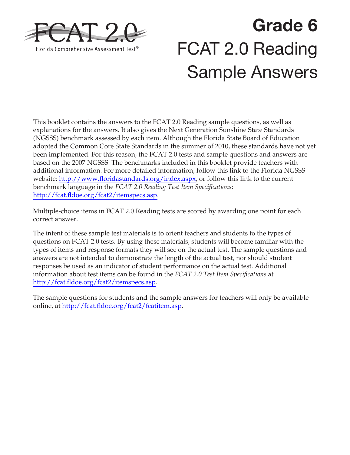

# **Grade 6**  FCAT 2.0 Reading Sample Answers

This booklet contains the answers to the FCAT 2.0 Reading sample questions, as well as explanations for the answers. It also gives the Next Generation Sunshine State Standards (NGSSS) benchmark assessed by each item. Although the Florida State Board of Education adopted the Common Core State Standards in the summer of 2010, these standards have not yet been implemented. For this reason, the FCAT 2.0 tests and sample questions and answers are based on the 2007 NGSSS. The benchmarks included in this booklet provide teachers with additional information. For more detailed information, follow this link to the Florida NGSSS website: [http://www.floridastandards.org/index.aspx,](http://www.floridastandards.org/index.aspx) or follow this link to the current benchmark language in the *FCAT 2.0 Reading Test Item Specifications*: [http://fcat.fldoe.org/fcat2/itemspecs.asp.](http://fcat.fldoe.org/fcat2/itemspecs.asp)

Multiple-choice items in FCAT 2.0 Reading tests are scored by awarding one point for each correct answer.

The intent of these sample test materials is to orient teachers and students to the types of questions on FCAT 2.0 tests. By using these materials, students will become familiar with the types of items and response formats they will see on the actual test. The sample questions and answers are not intended to demonstrate the length of the actual test, nor should student responses be used as an indicator of student performance on the actual test. Additional information about test items can be found in the *FCAT 2.0 Test Item Specifications* at <http://fcat.fldoe.org/fcat2/itemspecs.asp>.

The sample questions for students and the sample answers for teachers will only be available online, at [http://fcat.fldoe.org/fcat2/fcatitem.asp.](http://fcat.fldoe.org/fcat2/fcatitem.asp)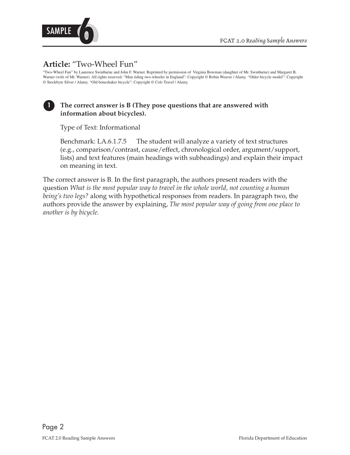

# **Article:** "Two-Wheel Fun"

"Two-Wheel Fun" by Laurence Swinburne and John F. Warner. Reprinted by permission of Virginia Bowman (daughter of Mr. Swinburne) and Margaret B. Warner (wife of Mr. Warner). All rights reserved. "Man riding two-wheeler in England": Copyright © Robin Weaver / Alamy. "Older bicycle model": Copyright © Stockbyte Silver / Alamy. "Old boneshaker bicycle": Copyright © Cols Travel / Alamy.

#### **1 The correct answer is B (They pose questions that are answered with information about bicycles).**

Type of Text: Informational

Benchmark: LA.6.1.7.5 The student will analyze a variety of text structures (e.g., comparison/contrast, cause/effect, chronological order, argument/support, lists) and text features (main headings with subheadings) and explain their impact on meaning in text.

The correct answer is B. In the first paragraph, the authors present readers with the question *What is the most popular way to travel in the whole world, not counting a human being's two legs?* along with hypothetical responses from readers. In paragraph two, the authors provide the answer by explaining, *The most popular way of going from one place to another is by bicycle.*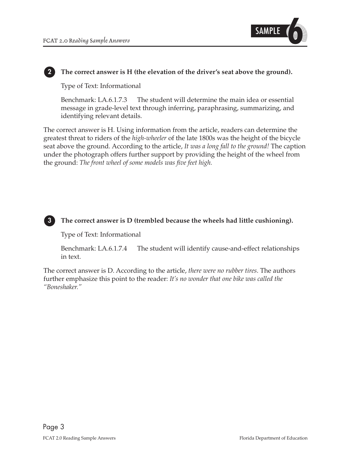

#### **2 The correct answer is H (the elevation of the driver's seat above the ground).**

Type of Text: Informational

Benchmark: LA.6.1.7.3 The student will determine the main idea or essential message in grade-level text through inferring, paraphrasing, summarizing, and identifying relevant details.

The correct answer is H. Using information from the article, readers can determine the greatest threat to riders of the *high-wheeler* of the late 1800s was the height of the bicycle seat above the ground. According to the article, *It was a long fall to the ground!* The caption under the photograph offers further support by providing the height of the wheel from the ground: *The front wheel of some models was five feet high.* 



#### **3 The correct answer is D (trembled because the wheels had little cushioning).**

Type of Text: Informational

Benchmark: LA.6.1.7.4 The student will identify cause-and-effect relationships in text.

The correct answer is D. According to the article, *there were no rubber tires*. The authors further emphasize this point to the reader: *It's no wonder that one bike was called the "Boneshaker."*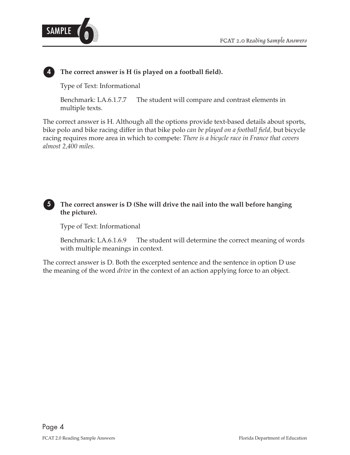

#### **4 The correct answer is H (is played on a football field).**

Type of Text: Informational

Benchmark: LA.6.1.7.7 The student will compare and contrast elements in multiple texts.

The correct answer is H. Although all the options provide text-based details about sports, bike polo and bike racing differ in that bike polo *can be played on a football field,* but bicycle racing requires more area in which to compete: *There is a bicycle race in France that covers almost 2,400 miles.* 

#### **5 The correct answer is D (She will drive the nail into the wall before hanging the picture).**

Type of Text: Informational

Benchmark: LA.6.1.6.9 The student will determine the correct meaning of words with multiple meanings in context.

The correct answer is D. Both the excerpted sentence and the sentence in option D use the meaning of the word *drive* in the context of an action applying force to an object.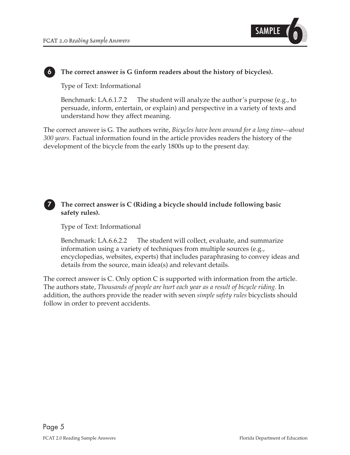

#### **6 The correct answer is G (inform readers about the history of bicycles).**

Type of Text: Informational

Benchmark: LA.6.1.7.2 The student will analyze the author's purpose (e.g., to persuade, inform, entertain, or explain) and perspective in a variety of texts and understand how they affect meaning.

The correct answer is G. The authors write, *Bicycles have been around for a long time—about 300 years.* Factual information found in the article provides readers the history of the development of the bicycle from the early 1800s up to the present day.

#### **7 The correct answer is C (Riding a bicycle should include following basic safety rules).**

Type of Text: Informational

Benchmark: LA.6.6.2.2 The student will collect, evaluate, and summarize information using a variety of techniques from multiple sources (e.g., encyclopedias, websites, experts) that includes paraphrasing to convey ideas and details from the source, main idea(s) and relevant details.

The correct answer is C. Only option C is supported with information from the article. The authors state, *Thousands of people are hurt each year as a result of bicycle riding.* In addition, the authors provide the reader with seven *simple safety rules* bicyclists should follow in order to prevent accidents.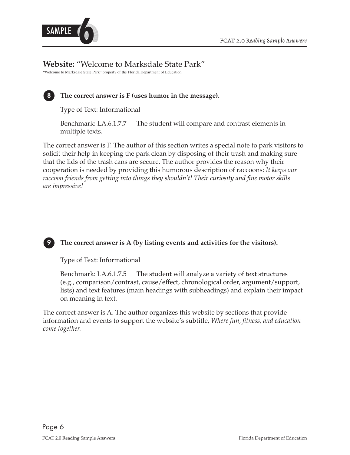



## **Website:** "Welcome to Marksdale State Park"

"Welcome to Marksdale State Park" property of the Florida Department of Education.



#### **8 The correct answer is F (uses humor in the message).**

Type of Text: Informational

Benchmark: LA.6.1.7.7 The student will compare and contrast elements in multiple texts.

The correct answer is F. The author of this section writes a special note to park visitors to solicit their help in keeping the park clean by disposing of their trash and making sure that the lids of the trash cans are secure. The author provides the reason why their cooperation is needed by providing this humorous description of raccoons: *It keeps our raccoon friends from getting into things they shouldn't! Their curiosity and fine motor skills are impressive!* 



### **9 The correct answer is A (by listing events and activities for the visitors).**

Type of Text: Informational

Benchmark: LA.6.1.7.5 The student will analyze a variety of text structures (e.g., comparison/contrast, cause/effect, chronological order, argument/support, lists) and text features (main headings with subheadings) and explain their impact on meaning in text.

The correct answer is A. The author organizes this website by sections that provide information and events to support the website's subtitle, *Where fun, fitness, and education come together.*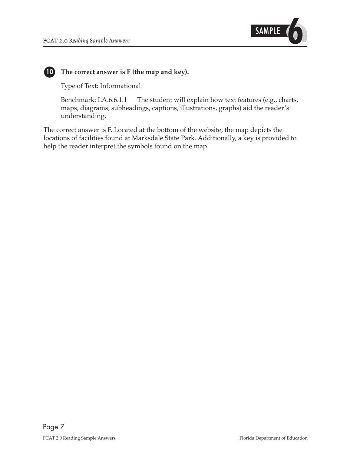

#### **10 The correct answer is F (the map and key).**

Type of Text: Informational

Benchmark: LA.6.6.1.1 The student will explain how text features (e.g., charts, maps, diagrams, subheadings, captions, illustrations, graphs) aid the reader's understanding.

The correct answer is F. Located at the bottom of the website, the map depicts the locations of facilities found at Marksdale State Park. Additionally, a key is provided to help the reader interpret the symbols found on the map.